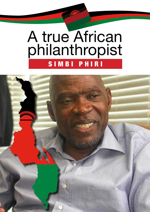# A true African philanthropist SIMBI PHIRI

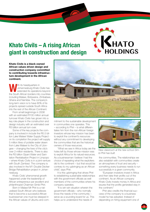### **Khato Civils – A rising African giant in construction and design**

**Khato Civils is a black-owned African values driven design and construction company committed to contributing towards infrastructure development in the African continent.**

**We define the South African borders into the South African borders into** Johannesburg Khato Civils has extended its operations beyond the South African borders into countries including Malawi, Botswana, Zimbabwe, Ghana and Namibia. The company's long-term vision is to have 80% of its projects spread outside South Africa into the rest of the African Continent.

From small beginnings in 2006 with an estimated R100 million annual turnover Khato Civils has grown into a key role-player in the construction and design industry with an estimated over R3 billion annual turn-over.

Some of the key projects the company is involved in include the R5.5 billion Lake Malawi Water Supply Project on its completion the project will supply 5 million litres of potable water drawn from Lake Malawi to the City of Lilongwe – changing the lives of the city's over 2-million residents. There is also the R3 billion Giyani Water and Sanitation Revitalisation Project in Limpopo – where Khato Civils is in a joint-venture with South Zambezi. The company is also involved in the M1-Double Decker Bridge Rehabilitation project in Johannesburg.

Khato Civils' phenomenal growth happened under the leadership of African entrepreneur par excellent and philanthropist Chairman Simbi Phiri.

Born in Malawi Mr Phiri is a naturalised South African who believes that to become a successful African businessman one must be steeped in the African values of Ubuntu and com-



mitment to the sustainable development in communities one operates. This – according to Phiri – is what differentiates him from the non-African foreign investors whose key mission has been to exploit the continent's resources without any commitment to developing the communities that are the historical owners of those resources.

"What we see in Africa today are the holes left by those whose mission was to exploit Africa for its natural resources. As a businessman I believe I had the choice of repeating what the exploiters did to the continent – but that would be contrary to my upbringing as an African child", says Phiri.

It is this upbringing that drives Phiri to establishing sustainable relationships with the government officials as well members of the communities where his company operates.

"It is win-win situation wherein the government officials – who normally know the needs of the community – serve as a sounding board for us. This helps us to understand the needs of



HATO

**DLDINGS** 

*New classroom at the new school Simbi Phiri has built.* 

the communities. The relationships we also establish with communities create an atmosphere of trust and security – something every business needs to run successfully in a given community.

"European investors invest in Africa and then take their profits out of the continent. As an African company Khato Civils invests money in Africa and esures that the profits generated stay in the continent."

Phiri also credits the financial success of the company to a business model he has adopted. Instead of depending on hiring equipment one of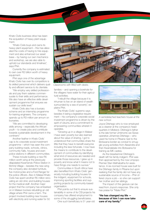Khato Civils business drive has been the acquisition of heavy plant equipment.

"Khato Civils buys and owns its heavy plant equipment – this has alleviated the costs of having to hire equipment and also enhanced our asset base – by having our own mechanics and workshop, we are also able to uphold our standards and timelines", says Phiri.

Currently the company is estimated to own over R2 billion worth of heavy equipment.

Phiri says one of the advantage Khato Civils has over its competitors is its skilled personnel which delivers quality and efficient service to its clientele.

"We employ very skilled professionals and pay them salaries commensurate to their skills and performance. We also have an effective skills development programme that ensures we sustain our skills level."

Khato Civils also has a bursary scheme and an internship programme for training engineers. The company spends up to R3 million per annum on bursaries.

"We are committed to developing skills among – especially the African youth – to create jobs and contribute towards sustainable development in the continent."

Another feather in Khato Civils' cap is its corporate social investment programme – which has seen the company building roads, schools, clinics, community halls, houses and even police stations in different communities.

These include building a new R5 million-worth wing at the previously dilapidated Kwamendo Police Station in Mchinji Village – besides the new wing the company also donated furniture, five motorcycles and a Ford Ranger for the police officers. Also in Malawi Khato Civils has spent another R5 million renovating an old clinic and building houses for the medical staff. Another major project that the company has embarked on in Malawi involves rebuilding an old village where Phiri owns a farm. The project involved building new houses with electricity and running water for 50



*Classrooms with fitted with desks.*

families – and opening a borehole for the villagers have water for their agricultural activities.

"I rebuilt the village because it is inhuman to live on an island of wealth surrounded by a sea of poverty", explains Phiri.

The Khato Civils' supremo says besides it being a legislative requirement – his company's corporate social investment programme is driven by the spirit of Ubuntu and a commitment to empowering communities wherein it operates.

"Growing up in a village in Malawi I have seen poverty but also learned about the value of sharing. I got to understood that communities share the little that they have to benefit everyone including the less fortunate. I now have the means to contribute to the development of communities by identifying what kind of resources are needed and provide those resources. I grew up in poverty and know what it means not to have things one needs to survive."

Communities in South Africa have also benefited from Khato Civils' generosity including building houses for the indigent, equipment for schools, improving sporting facilities and supporting projects by community-based organisation.

Phiri points out that to ensure sustainability in some of its CSI projects his company has offered employment to some of the struggling beneficiaries.

One such beneficiary is 51 year-old



*A semidetached teachers house at the new school.*

Joyce Ditshego who is now employed as a cleaner at the company's headquarters in Midrand. Ditshego's father is the late former Umkhonto we Sizwe operative Johannes Ditshego – who used his home in Pitsane next to the Botswana border as conduit to smuggle young activities from Alexandra and then Kwandebele into Botswana for training as MK cadres.

As the breadwinner Ditshego's death left his family indigent. Phiri was then approached by the now Limpopo Premier Stan Mathabatha for assistance. A six-roomed house was built for the Ditshego family in Pitsane but upon realising that the family did not have any sustainable source of income – Phiri offered Joyce a job – so she can support her mother and her siblings.

The impact of this gesture can be read from Joyce's response. She only has praise for "Ntate Phiri."

**"He has changed my life because of him I can now take care of my family."**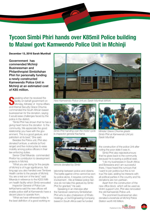# **Tycoon Simbi Phiri hands over K85mil Police building to Malawi govt: Kamwendo Police Unit in Mchinji**

**December 13, 2016 Sarah Munthali**

Governnment has commended Mchinji Businessman and Philanthropist SimbiAshan Phiri for personally funding a newly constructed Kamwendo Police Unit in Mchinii at an estimated cost of K85 million.

**S** peaking when he received the facility on behalf government or Monday, Minister of Home Affa and Internal Security Grace Chiumia **Peaking when he received the** facility on behalf government on Monday, Minister of Home Affairs commended the South African based businessman for the donation, saying it would ease challenges faced by the police in the district.

"Simbi Phiri has shown that he has a giving heart hence the donation to the community, We appreciate the good relationship you have with the government, This is a good gesture, and patriotism at its best," She said.

Besides the Police unit, Phiri also donated furniture, a vehicle (a Ford ranger) and five motorcycles to ease mobility among police officers in their law enforcing duties.

Senior Chief Mkanda commended Phirifor his contribution to development projects in Mchinji.

"What you are doing for the people of Mchinji is of huge significance. Not long ago you also handed over Tembwe Health centre to the people of Mchinji. You are a real son of the land," said Mkanda in reference to the K200 Milliom health facility which Simbi renovated

Inspector General of Police LexterKachama said the new offices will enable police staff at Kamwendo have a decent place to operate from.

"What we have witnessed today is the best definition of a good working re-



*New Kamwendo Police Unit pic Sarah Munthali MANA*



*Simbi Phiri handing over the motor cycle to Inspector general Kachama*



*Vehicle donated by Simbi*

lationship between police and citizens. The battle against crime cannot be won by police alone, it requires community involvement . We at Malawi police Service do not take this gesture by Simbi Phiri for granted," He said.

Speaking in an interview after the handover ceremony SimbiAshan Phiri who is also chairperson of Khato Holdings, a Civil Engineering Company based in South Africa said he funded



*Minister Grace Chiumia greets Simbi Phiri at Kamwendo Unit pic Sarah Munthali*

the construction of the police Unit after noting the poor state it was in.

Simbi Phiri also rejectedrumours that he gives back to the community because he is eyeing a political seat.

"I do my businesses in South Africa and Botswana and I am successful there, I have heard the rumours that I want to join politics but this is not true,"He said, adding he interacts with all political parties in the country and his donations are non-partisan.

Apart from the construction of the new office block which will be used as Victim support Unit, Phiri also renovated the old Kamwendo Police unit.

The prominent businessman also donated a borehole at Mchinji Police Station worth K6 Million.



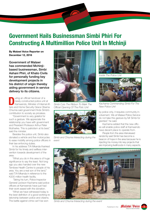# **Government Hails Businessman Simbi Phiri For Constructing A Multimillion Police Unit In Mchinji**

**By Malawi Voice Reporter on December 12, 2016**

Government of Malawi has commended Mchinjibased businessman, Simbi Ashani Phiri, of Khato Civils for personally funding key development projects in his district of origin thereby aiding government in service delivery to its citizens.

**During an official handover of a<br>
newly-constructed police unit at<br>
Kamwendo, Minister of Internal Af-<br>
fairs and Home Security Grace Obama** newly-constructed police unit at fairs and Home Security Grace Obama Chiumia said government finds Simbi's contribution to society as priceless.

"Government is very grateful for such a gesture. We appreciate the relationship you have with government and President Professor Arthur Peter Mutharika. This is patriotism at its best," said the minister.

Besides the police unit, Simbi also donated a vehicle and five motorcycles to ease mobility among police officers in their law enforcing duties.

In his address T/A Mkanda thanked Simbi for his timely and selfless intervention towards development of the area.

"What you do in this area is of huge significance to say the least. Not long ago you also handed over the new Tembwe Health Centre to people of his area. You are a real son of the land." said T/A Mkanda in reference to the K200 million health facility.

 Taking his turn, Police Inspector General Leckson Kachama said police officers at Kamwendo have just had their work eased with the donation.

"What we have witnessed today is the best definition of a good working relationship between police and citizens. The battle against crime can't be won



*Simbi Cuts The Ribbon To Mark The Official Opening Of The Polic Unit*



*Simbi and Chiuma Interacting during the event*



*Inside The Police Unit*



*Kachama Commending Simbi For The New Police Unit*

by police only, it requires community involvement. We at Malawi Police Service do not take this gesture by Mr Simbi for granted," he said.

Kachama added that the new offices will enable police staff at Kamwendo have decent place to operate from.

People from the area interviewed randomly said Simbi has become a beacon of hope in the area because he is injecting his money into key projects that are improving livelihoods in many aspects.



*Simbi and Chiuma Interacting during the event*

3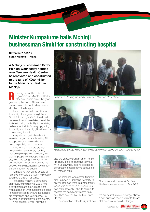# **Minister Kumpalume hails Mchinji businessman Simbi for constructing hospital**

**November 17, 2016 Sarah Munthali – Mana**

A Mchinji businessman Simbi Phiri on Wednesday handed over Tembwe Health Centre he renovated and constructed to the tune of K200 million to the Ministry of Health in Mchinii.

**R**eceiving the facility on behalf of government, Minister of Health Peter Kumpalume hailed the good gesture by the South African based businessman Phiri for funding the construction of the hospital.

"I am impressed with condition of this facility, it is a generous gift from Simbi Phiri I am grateful for the donation because it would have taken my ministry time to bring this facility to this state, he has spent a lot of money upgrading this facility and it is a big gift to the community here," He said.

Kumpalume urged Malawians to emulate the good example set by Phiri to support communities who are in need, especially health services.

"Most of the time there are Malawians who have money, but they wouldn't give a penny to anybody, we wait for people from Europe to give us aid, when we can give something to our neighbour, let us contribute to the society, we are not helping government but community," He added.

Kumpalume then urged people of Tembwe to ensure the facility is properly taken care of and maintained.

He said his ministry is developing an infrastructure plan that would help district health and council officials to make a plan on what needs to be done in health facilities to ensure the facilities are maintained and availability of resources in different parts of the country.

In his speech, Simbi Phiri who is



*Kumpalume touring the facility with Simbi Phiri and other officials* 



*Kumpalume (centre) with Simbi Phiri right at the health centre pic Sarah munthali MANA*

also the Executive Chairman of Khato Holdings, a civil engineering company in South Africa, said he decided to construct the health centre because of its pathetic state.

"As someone who comes from this area Tembwe in Traditional Authority Mlonyeni, I felt bad when I saw the facility, which was given to us by donors in a bad state, I thought I should contribute towards the community I come from and it has cost me Four Million Rands ," He said.

The renovation of the facility includes



*One of the staff houses at Tembwe Health centre renovated by Simbi Phir*

the out patient, maternity wings, offices, a new guardian shelter, water tanks and staff houses among other things.

*Published in the: Halatui Poice* 

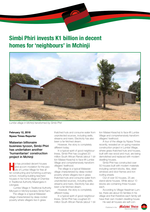# **Simbi Phiri invests K1 billion in decent homes for 'neighbours' in Mchinji**



*Lumbe village in Mchinji transformed by Simbi Phiri*

#### **February 12, 2018 Nyasa Times Reporter**

### Malawian billionaire business tycoon, Simbi Phiri has undertaken another 'humanitarian' construction project in Mchinji

**He** has provided decent houses<br>
and accom modation for the pe<br>
ple of Lumbe Village for free af-<br>
ter constructing and furnishing a prim and accom modation for the peoter constructing and furnishing a primary school, including building teachers' houses in his home village of Chembe in Traditional Authority Mazengera in Lilongwe.

 Lumbe Village in Traditional Authority Mlonyeni in Mchinji borders Simbi Farm.

The village is a typical Malawian village characterized by deep-rooted poverty where villagers live in grass

thatched huts and consume water from unprotected sources, including wells, streams and rivers. Electricity has also been a far-fetched dream.

However, the story is completely different today.

In a typical spirit of good neighbourliness, Simbi Phiri has coughed 20 million South African Rands (about 1 billion Malawi Kwacha) to face-lift Lumbe Village and comprehensively transform villagers' livelihood.

The village is a typical Malawian village characterized by deep-rooted poverty where villagers live in grass thatched huts and consume water from unprotected sources, including wells, streams and rivers. Electricity has also been a far-fetched dream.

However, the story is completely different today.

In a typical spirit of good neighbourliness, Simbi Phiri has coughed 20 million South African Rands (about 1 bil-

lion Malawi Kwacha) to face-lift Lumbe Village and comprehensively transform villagers' livelihood.

A tour of the village by Nyasa Times recently, revealed an on-going massive construction project in Lumbe Village, where grass thatched huts and houses, built with raw wood and mud, are being demolished and replaced with modern dwelling houses.

Simbi Phiri has constructed over 50 houses built with modern materials including cement blocks, tiles, steel windows and door frames and iron roofing sheets

Out of over 50 houses, 25 are stand-alone houses. While about 10 blocks are containing three houses each.

According to Village Headman Lumbe, there are about 55 families in his village and that therefore each family will have their own modern dwelling house.

He said all houses are self-con-